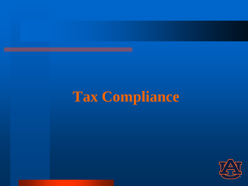## **Tax Compliance**

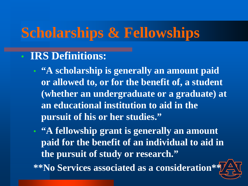### **Scholarships & Fellowships**

#### • **IRS Definitions:**

- **"A scholarship is generally an amount paid or allowed to, or for the benefit of, a student (whether an undergraduate or a graduate) at an educational institution to aid in the pursuit of his or her studies."**
- **"A fellowship grant is generally an amount paid for the benefit of an individual to aid in the pursuit of study or research."**

**\*\*No Services associated as a consideration\*\***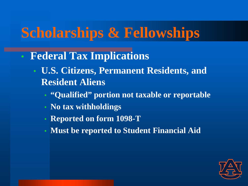## **Scholarships & Fellowships**

- **Federal Tax Implications**
	- **U.S. Citizens, Permanent Residents, and Resident Aliens**
		- **"Qualified" portion not taxable or reportable**
		- **No tax withholdings**
		- **Reported on form 1098-T**
		- **Must be reported to Student Financial Aid**

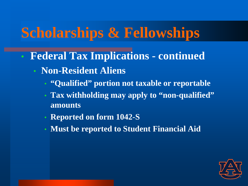### **Scholarships & Fellowships**

- **Federal Tax Implications - continued**
	- **Non-Resident Aliens**
		- **"Qualified" portion not taxable or reportable**
		- **Tax withholding may apply to "non-qualified" amounts**
		- **Reported on form 1042-S**
		- **Must be reported to Student Financial Aid**

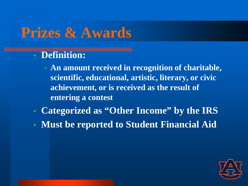#### **Prizes & Awards**

- **Definition:**
	- **An amount received in recognition of charitable, scientific, educational, artistic, literary, or civic achievement, or is received as the result of entering a contest**
- **Categorized as "Other Income" by the IRS**
- **Must be reported to Student Financial Aid**

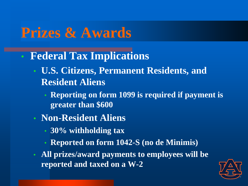### **Prizes & Awards**

- **Federal Tax Implications**
	- **U.S. Citizens, Permanent Residents, and Resident Aliens**
		- **Reporting on form 1099 is required if payment is greater than \$600**
	- **Non-Resident Aliens**
		- **30% withholding tax**
		- **Reported on form 1042-S (no de Minimis)**
	- **All prizes/award payments to employees will be reported and taxed on a W-2**

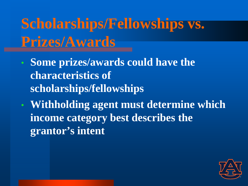**Scholarships/Fellowships vs. Prizes/Awards**

- **Some prizes/awards could have the characteristics of scholarships/fellowships**
- **Withholding agent must determine which income category best describes the grantor's intent**

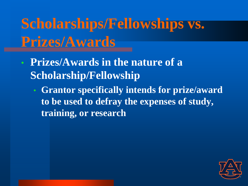## **Scholarships/Fellowships vs. Prizes/Awards**

- **Prizes/Awards in the nature of a Scholarship/Fellowship**
	- **Grantor specifically intends for prize/award to be used to defray the expenses of study, training, or research**